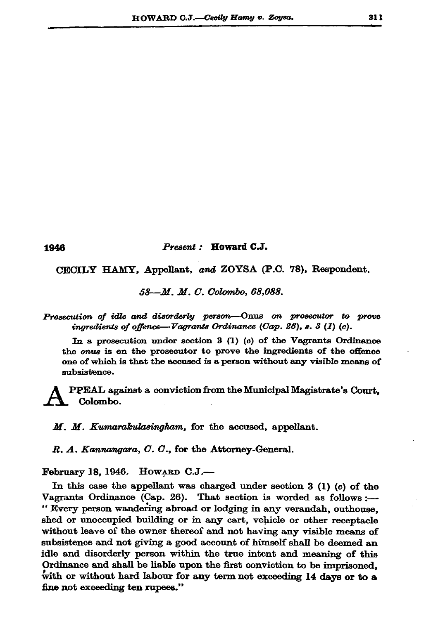## Present: Howard C.J.

CECILY HAMY, Appellant, and ZOYSA (P.C. 78), Respondent.

58—M. M. C. Colombo, 68,088.

Prosecution of idle and disorderly person—Onus on prosecutor to prove ingredients of offence—Vagrants Ordinance (Cap. 26), s. 3 (1) (c).

In a prosecution under section  $3(1)(c)$  of the Vagrants Ordinance the *onus* is on the prosecutor to prove the ingredients of the offence one of which is that the accused is a person without any visible means of subsistence.

PPEAL against a conviction from the Municipal Magistrate's Court. Colombo.

M. M. Kumarakulasingham, for the accused, appellant.

R. A. Kannangara, C. C., for the Attorney-General.

February 18, 1946. HOWARD C.J.-

In this case the appellant was charged under section  $3$  (1)  $(c)$  of the Vagrants Ordinance (Cap. 26). That section is worded as follows :-" Every person wandering abroad or lodging in any verandah, outhouse, shed or unoccupied building or in any cart, vehicle or other receptacle without leave of the owner thereof and not having any visible means of subsistence and not giving a good account of himself shall be deemed an idle and disorderly person within the true intent and meaning of this Ordinance and shall be liable upon the first conviction to be imprisoned, with or without hard labour for any term not exceeding 14 days or to a fine not exceeding ten rupees."